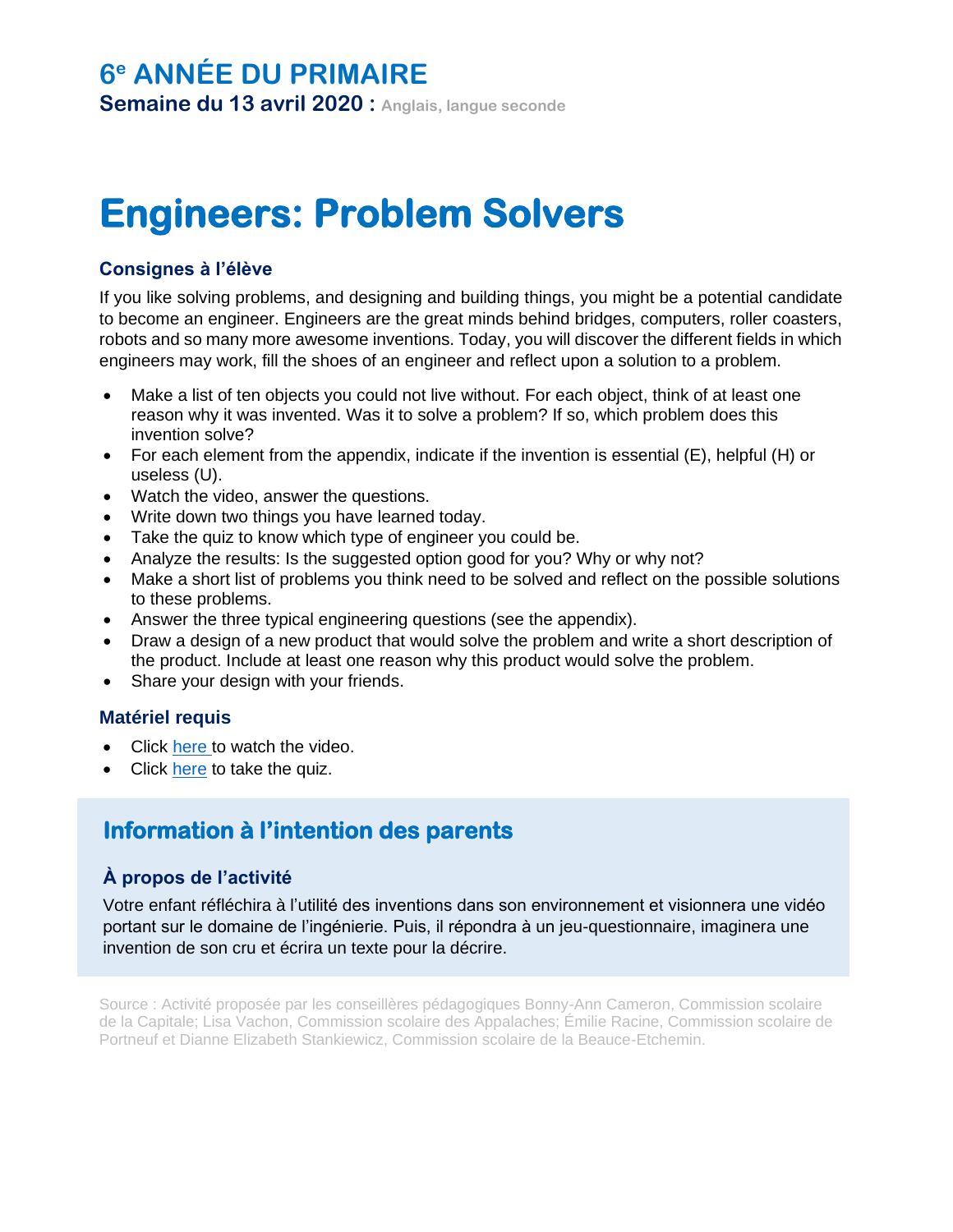## **6 <sup>e</sup> ANNÉE DU PRIMAIRE**

**Semaine du 13 avril 2020 : Anglais, langue seconde**

# **Engineers: Problem Solvers**

## **Consignes à l'élève**

If you like solving problems, and designing and building things, you might be a potential candidate to become an engineer. Engineers are the great minds behind bridges, computers, roller coasters, robots and so many more awesome inventions. Today, you will discover the different fields in which engineers may work, fill the shoes of an engineer and reflect upon a solution to a problem.

- Make a list of ten objects you could not live without. For each object, think of at least one reason why it was invented. Was it to solve a problem? If so, which problem does this invention solve?
- For each element from the appendix, indicate if the invention is essential (E), helpful (H) or useless (U).
- Watch the video, answer the questions.
- Write down two things you have learned today.
- Take the quiz to know which type of engineer you could be.
- Analyze the results: Is the suggested option good for you? Why or why not?
- Make a short list of problems you think need to be solved and reflect on the possible solutions to these problems.
- Answer the three typical engineering questions (see the appendix).
- Draw a design of a new product that would solve the problem and write a short description of the product. Include at least one reason why this product would solve the problem.
- Share your design with your friends.

### **Matériel requis**

- Click [here](https://edpuzzle.com/media/5e824cb99d47b13fac5f38af) to watch the video.
- Click [here](https://www.dk.com/uk/article/engineering-quiz-for-kids-which-type-of-engineer-would-you-be/) to take the quiz.

## **Information à l'intention des parents**

### **À propos de l'activité**

Votre enfant réfléchira à l'utilité des inventions dans son environnement et visionnera une vidéo portant sur le domaine de l'ingénierie. Puis, il répondra à un jeu-questionnaire, imaginera une invention de son cru et écrira un texte pour la décrire.

Source : Activité proposée par les conseillères pédagogiques Bonny-Ann Cameron, Commission scolaire de la Capitale; Lisa Vachon, Commission scolaire des Appalaches; Émilie Racine, Commission scolaire de Portneuf et Dianne Elizabeth Stankiewicz, Commission scolaire de la Beauce-Etchemin.